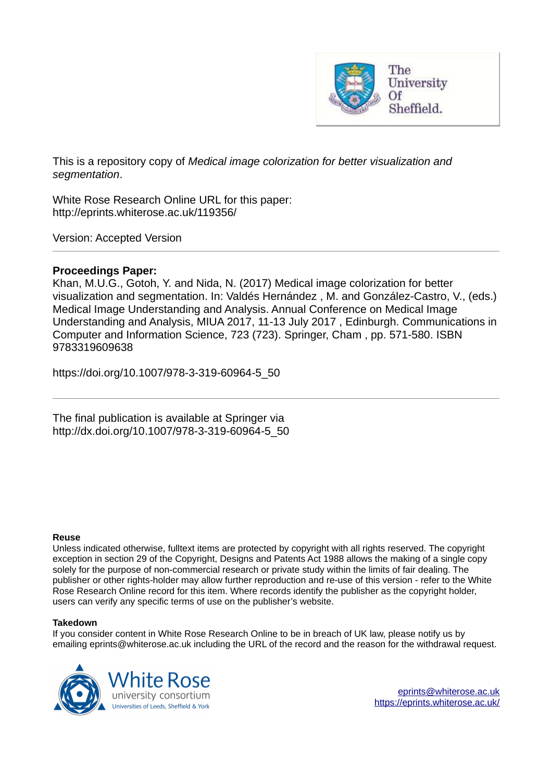

This is a repository copy of *Medical image colorization for better visualization and segmentation*.

White Rose Research Online URL for this paper: http://eprints.whiterose.ac.uk/119356/

Version: Accepted Version

## **Proceedings Paper:**

Khan, M.U.G., Gotoh, Y. and Nida, N. (2017) Medical image colorization for better visualization and segmentation. In: Valdés Hernández , M. and González-Castro, V., (eds.) Medical Image Understanding and Analysis. Annual Conference on Medical Image Understanding and Analysis, MIUA 2017, 11-13 July 2017 , Edinburgh. Communications in Computer and Information Science, 723 (723). Springer, Cham , pp. 571-580. ISBN 9783319609638

https://doi.org/10.1007/978-3-319-60964-5\_50

The final publication is available at Springer via http://dx.doi.org/10.1007/978-3-319-60964-5\_50

### **Reuse**

Unless indicated otherwise, fulltext items are protected by copyright with all rights reserved. The copyright exception in section 29 of the Copyright, Designs and Patents Act 1988 allows the making of a single copy solely for the purpose of non-commercial research or private study within the limits of fair dealing. The publisher or other rights-holder may allow further reproduction and re-use of this version - refer to the White Rose Research Online record for this item. Where records identify the publisher as the copyright holder, users can verify any specific terms of use on the publisher's website.

### **Takedown**

If you consider content in White Rose Research Online to be in breach of UK law, please notify us by emailing eprints@whiterose.ac.uk including the URL of the record and the reason for the withdrawal request.

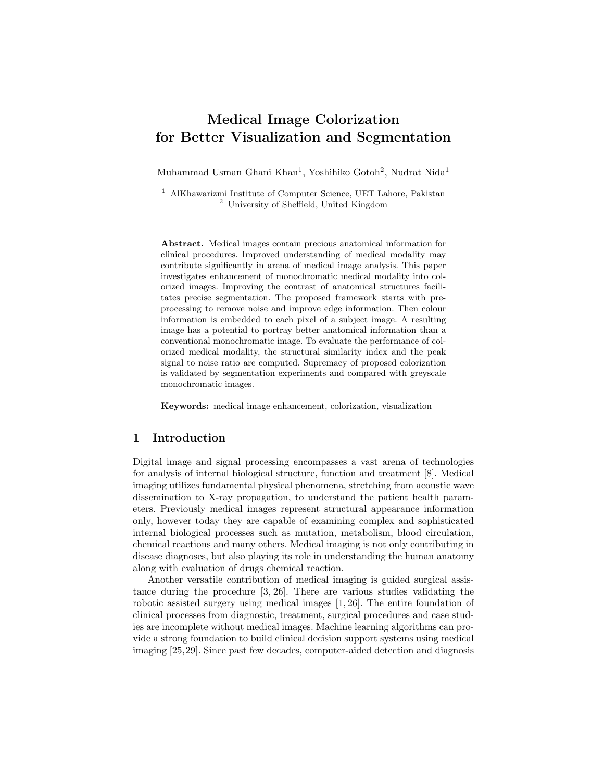# Medical Image Colorization for Better Visualization and Segmentation

Muhammad Usman Ghani Khan<sup>1</sup>, Yoshihiko Gotoh<sup>2</sup>, Nudrat Nida<sup>1</sup>

<sup>1</sup> AlKhawarizmi Institute of Computer Science, UET Lahore, Pakistan <sup>2</sup> University of Sheffield, United Kingdom

Abstract. Medical images contain precious anatomical information for clinical procedures. Improved understanding of medical modality may contribute significantly in arena of medical image analysis. This paper investigates enhancement of monochromatic medical modality into colorized images. Improving the contrast of anatomical structures facilitates precise segmentation. The proposed framework starts with preprocessing to remove noise and improve edge information. Then colour information is embedded to each pixel of a subject image. A resulting image has a potential to portray better anatomical information than a conventional monochromatic image. To evaluate the performance of colorized medical modality, the structural similarity index and the peak signal to noise ratio are computed. Supremacy of proposed colorization is validated by segmentation experiments and compared with greyscale monochromatic images.

Keywords: medical image enhancement, colorization, visualization

### 1 Introduction

Digital image and signal processing encompasses a vast arena of technologies for analysis of internal biological structure, function and treatment [8]. Medical imaging utilizes fundamental physical phenomena, stretching from acoustic wave dissemination to X-ray propagation, to understand the patient health parameters. Previously medical images represent structural appearance information only, however today they are capable of examining complex and sophisticated internal biological processes such as mutation, metabolism, blood circulation, chemical reactions and many others. Medical imaging is not only contributing in disease diagnoses, but also playing its role in understanding the human anatomy along with evaluation of drugs chemical reaction.

Another versatile contribution of medical imaging is guided surgical assistance during the procedure [3, 26]. There are various studies validating the robotic assisted surgery using medical images [1, 26]. The entire foundation of clinical processes from diagnostic, treatment, surgical procedures and case studies are incomplete without medical images. Machine learning algorithms can provide a strong foundation to build clinical decision support systems using medical imaging [25,29]. Since past few decades, computer-aided detection and diagnosis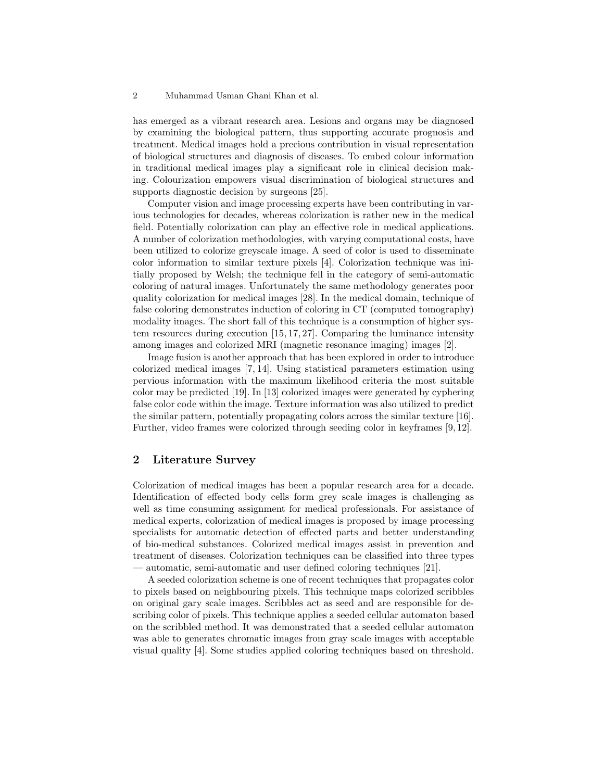#### 2 Muhammad Usman Ghani Khan et al.

has emerged as a vibrant research area. Lesions and organs may be diagnosed by examining the biological pattern, thus supporting accurate prognosis and treatment. Medical images hold a precious contribution in visual representation of biological structures and diagnosis of diseases. To embed colour information in traditional medical images play a significant role in clinical decision making. Colourization empowers visual discrimination of biological structures and supports diagnostic decision by surgeons [25].

Computer vision and image processing experts have been contributing in various technologies for decades, whereas colorization is rather new in the medical field. Potentially colorization can play an effective role in medical applications. A number of colorization methodologies, with varying computational costs, have been utilized to colorize greyscale image. A seed of color is used to disseminate color information to similar texture pixels [4]. Colorization technique was initially proposed by Welsh; the technique fell in the category of semi-automatic coloring of natural images. Unfortunately the same methodology generates poor quality colorization for medical images [28]. In the medical domain, technique of false coloring demonstrates induction of coloring in CT (computed tomography) modality images. The short fall of this technique is a consumption of higher system resources during execution [15, 17, 27]. Comparing the luminance intensity among images and colorized MRI (magnetic resonance imaging) images [2].

Image fusion is another approach that has been explored in order to introduce colorized medical images [7, 14]. Using statistical parameters estimation using pervious information with the maximum likelihood criteria the most suitable color may be predicted [19]. In [13] colorized images were generated by cyphering false color code within the image. Texture information was also utilized to predict the similar pattern, potentially propagating colors across the similar texture [16]. Further, video frames were colorized through seeding color in keyframes [9, 12].

### 2 Literature Survey

Colorization of medical images has been a popular research area for a decade. Identification of effected body cells form grey scale images is challenging as well as time consuming assignment for medical professionals. For assistance of medical experts, colorization of medical images is proposed by image processing specialists for automatic detection of effected parts and better understanding of bio-medical substances. Colorized medical images assist in prevention and treatment of diseases. Colorization techniques can be classified into three types — automatic, semi-automatic and user defined coloring techniques [21].

A seeded colorization scheme is one of recent techniques that propagates color to pixels based on neighbouring pixels. This technique maps colorized scribbles on original gary scale images. Scribbles act as seed and are responsible for describing color of pixels. This technique applies a seeded cellular automaton based on the scribbled method. It was demonstrated that a seeded cellular automaton was able to generates chromatic images from gray scale images with acceptable visual quality [4]. Some studies applied coloring techniques based on threshold.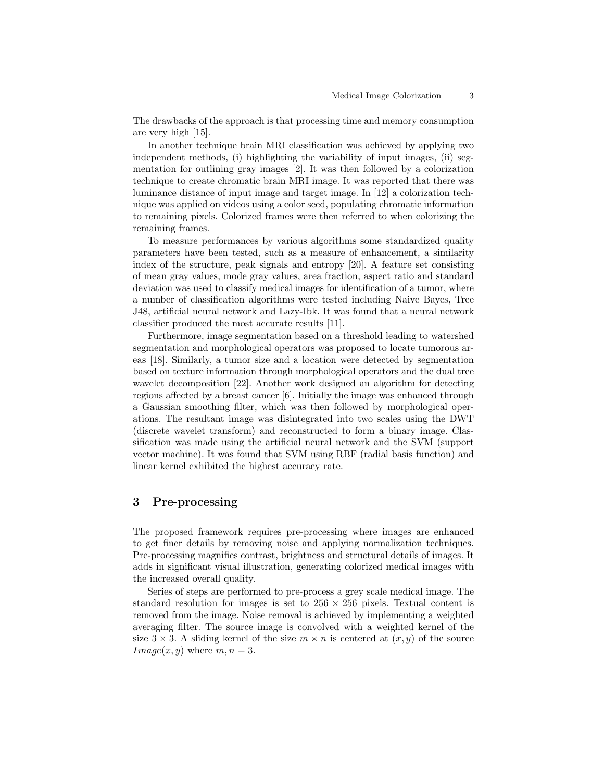The drawbacks of the approach is that processing time and memory consumption are very high [15].

In another technique brain MRI classification was achieved by applying two independent methods, (i) highlighting the variability of input images, (ii) segmentation for outlining gray images [2]. It was then followed by a colorization technique to create chromatic brain MRI image. It was reported that there was luminance distance of input image and target image. In [12] a colorization technique was applied on videos using a color seed, populating chromatic information to remaining pixels. Colorized frames were then referred to when colorizing the remaining frames.

To measure performances by various algorithms some standardized quality parameters have been tested, such as a measure of enhancement, a similarity index of the structure, peak signals and entropy [20]. A feature set consisting of mean gray values, mode gray values, area fraction, aspect ratio and standard deviation was used to classify medical images for identification of a tumor, where a number of classification algorithms were tested including Naive Bayes, Tree J48, artificial neural network and Lazy-Ibk. It was found that a neural network classifier produced the most accurate results [11].

Furthermore, image segmentation based on a threshold leading to watershed segmentation and morphological operators was proposed to locate tumorous areas [18]. Similarly, a tumor size and a location were detected by segmentation based on texture information through morphological operators and the dual tree wavelet decomposition [22]. Another work designed an algorithm for detecting regions affected by a breast cancer [6]. Initially the image was enhanced through a Gaussian smoothing filter, which was then followed by morphological operations. The resultant image was disintegrated into two scales using the DWT (discrete wavelet transform) and reconstructed to form a binary image. Classification was made using the artificial neural network and the SVM (support vector machine). It was found that SVM using RBF (radial basis function) and linear kernel exhibited the highest accuracy rate.

### 3 Pre-processing

The proposed framework requires pre-processing where images are enhanced to get finer details by removing noise and applying normalization techniques. Pre-processing magnifies contrast, brightness and structural details of images. It adds in significant visual illustration, generating colorized medical images with the increased overall quality.

Series of steps are performed to pre-process a grey scale medical image. The standard resolution for images is set to  $256 \times 256$  pixels. Textual content is removed from the image. Noise removal is achieved by implementing a weighted averaging filter. The source image is convolved with a weighted kernel of the size  $3 \times 3$ . A sliding kernel of the size  $m \times n$  is centered at  $(x, y)$  of the source  $Image(x, y)$  where  $m, n = 3$ .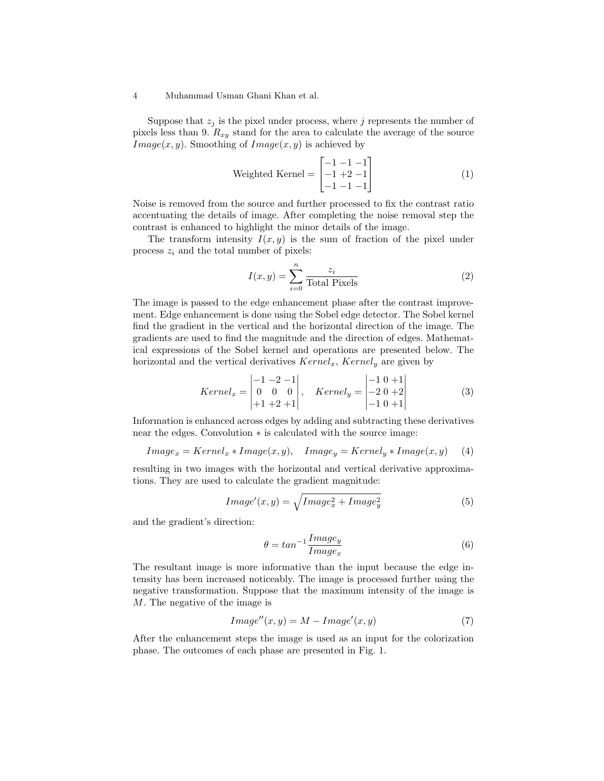#### 4 Muhammad Usman Ghani Khan et al.

Suppose that  $z_j$  is the pixel under process, where j represents the number of pixels less than 9.  $R_{xy}$  stand for the area to calculate the average of the source  $Image(x, y)$ . Smoothing of  $Image(x, y)$  is achieved by

Weighted Kernel = 
$$
\begin{bmatrix} -1 & -1 & -1 \\ -1 & +2 & -1 \\ -1 & -1 & -1 \end{bmatrix}
$$
 (1)

Noise is removed from the source and further processed to fix the contrast ratio accentuating the details of image. After completing the noise removal step the contrast is enhanced to highlight the minor details of the image.

The transform intensity  $I(x, y)$  is the sum of fraction of the pixel under process  $z_i$  and the total number of pixels:

$$
I(x,y) = \sum_{i=0}^{n} \frac{z_i}{\text{Total Pixels}} \tag{2}
$$

The image is passed to the edge enhancement phase after the contrast improvement. Edge enhancement is done using the Sobel edge detector. The Sobel kernel find the gradient in the vertical and the horizontal direction of the image. The gradients are used to find the magnitude and the direction of edges. Mathematical expressions of the Sobel kernel and operations are presented below. The horizontal and the vertical derivatives  $Kernel_x$ ,  $Kernel_y$  are given by

$$
Kernel_x = \begin{vmatrix} -1 & -2 & -1 \\ 0 & 0 & 0 \\ +1 & +2 & +1 \end{vmatrix}, \quad Kernel_y = \begin{vmatrix} -1 & 0 & +1 \\ -2 & 0 & +2 \\ -1 & 0 & +1 \end{vmatrix}
$$
 (3)

Information is enhanced across edges by adding and subtracting these derivatives near the edges. Convolution ∗ is calculated with the source image:

$$
Image_x = Kernel_x * Image(x, y), \quad Image_y = Kernel_y * Image(x, y)
$$
 (4)

resulting in two images with the horizontal and vertical derivative approximations. They are used to calculate the gradient magnitude:

$$
Image'(x, y) = \sqrt{Image_x^2 + Image_y^2}
$$
\n<sup>(5)</sup>

and the gradient's direction:

$$
\theta = \tan^{-1} \frac{Image_y}{Image_x} \tag{6}
$$

The resultant image is more informative than the input because the edge intensity has been increased noticeably. The image is processed further using the negative transformation. Suppose that the maximum intensity of the image is M. The negative of the image is

$$
Image''(x, y) = M - Image'(x, y)
$$
\n(7)

After the enhancement steps the image is used as an input for the colorization phase. The outcomes of each phase are presented in Fig. 1.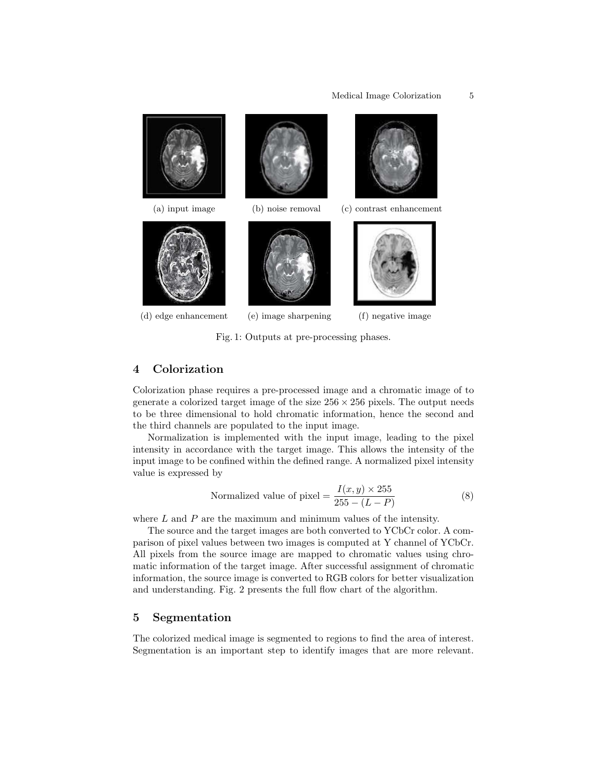

Fig. 1: Outputs at pre-processing phases.

### 4 Colorization

Colorization phase requires a pre-processed image and a chromatic image of to generate a colorized target image of the size  $256 \times 256$  pixels. The output needs to be three dimensional to hold chromatic information, hence the second and the third channels are populated to the input image.

Normalization is implemented with the input image, leading to the pixel intensity in accordance with the target image. This allows the intensity of the input image to be confined within the defined range. A normalized pixel intensity value is expressed by

$$
normalized value of pixel = \frac{I(x, y) \times 255}{255 - (L - P)}
$$
\n(8)

where  $L$  and  $P$  are the maximum and minimum values of the intensity.

The source and the target images are both converted to YCbCr color. A comparison of pixel values between two images is computed at Y channel of YCbCr. All pixels from the source image are mapped to chromatic values using chromatic information of the target image. After successful assignment of chromatic information, the source image is converted to RGB colors for better visualization and understanding. Fig. 2 presents the full flow chart of the algorithm.

### 5 Segmentation

The colorized medical image is segmented to regions to find the area of interest. Segmentation is an important step to identify images that are more relevant.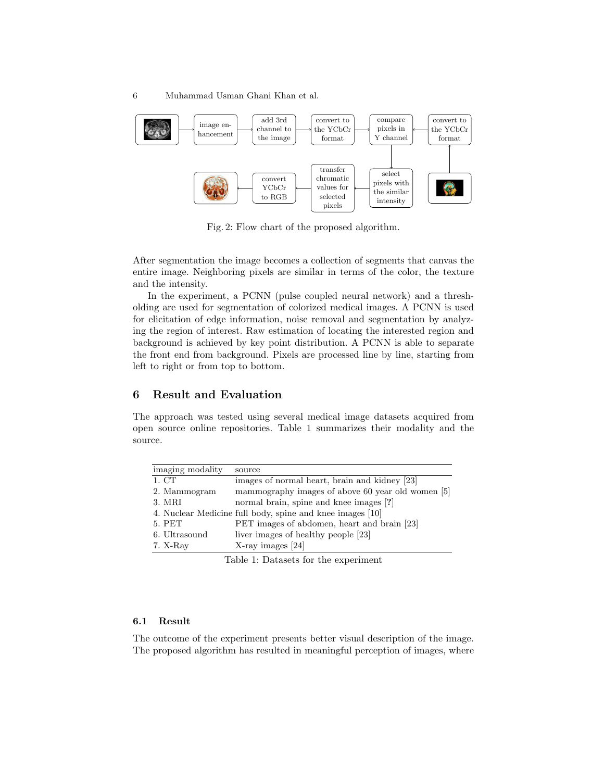

Fig. 2: Flow chart of the proposed algorithm.

After segmentation the image becomes a collection of segments that canvas the entire image. Neighboring pixels are similar in terms of the color, the texture and the intensity.

In the experiment, a PCNN (pulse coupled neural network) and a thresholding are used for segmentation of colorized medical images. A PCNN is used for elicitation of edge information, noise removal and segmentation by analyzing the region of interest. Raw estimation of locating the interested region and background is achieved by key point distribution. A PCNN is able to separate the front end from background. Pixels are processed line by line, starting from left to right or from top to bottom.

### 6 Result and Evaluation

The approach was tested using several medical image datasets acquired from open source online repositories. Table 1 summarizes their modality and the source.

| 1. CT<br>images of normal heart, brain and kidney [23]            |  |
|-------------------------------------------------------------------|--|
| mammography images of above 60 year old women [5]<br>2. Mammogram |  |
| normal brain, spine and knee images [?]<br>3. MRI                 |  |
| 4. Nuclear Medicine full body, spine and knee images [10]         |  |
| 5. PET<br>PET images of abdomen, heart and brain [23]             |  |
| liver images of healthy people [23]<br>6. Ultrasound              |  |
| $X$ -ray images [24]<br>$7. X-Rav$                                |  |

Table 1: Datasets for the experiment

#### 6.1 Result

The outcome of the experiment presents better visual description of the image. The proposed algorithm has resulted in meaningful perception of images, where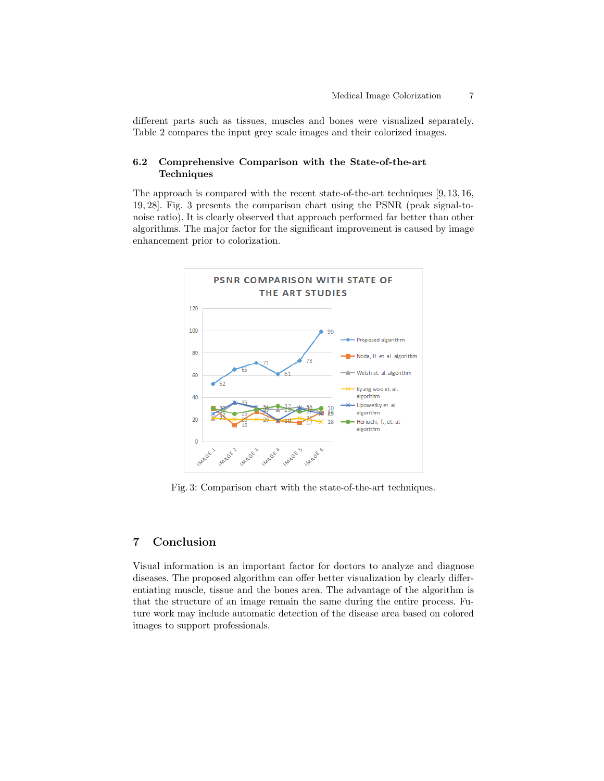different parts such as tissues, muscles and bones were visualized separately. Table 2 compares the input grey scale images and their colorized images.

### 6.2 Comprehensive Comparison with the State-of-the-art **Techniques**

The approach is compared with the recent state-of-the-art techniques [9, 13, 16, 19, 28]. Fig. 3 presents the comparison chart using the PSNR (peak signal-tonoise ratio). It is clearly observed that approach performed far better than other algorithms. The major factor for the significant improvement is caused by image enhancement prior to colorization.



Fig. 3: Comparison chart with the state-of-the-art techniques.

### 7 Conclusion

Visual information is an important factor for doctors to analyze and diagnose diseases. The proposed algorithm can offer better visualization by clearly differentiating muscle, tissue and the bones area. The advantage of the algorithm is that the structure of an image remain the same during the entire process. Future work may include automatic detection of the disease area based on colored images to support professionals.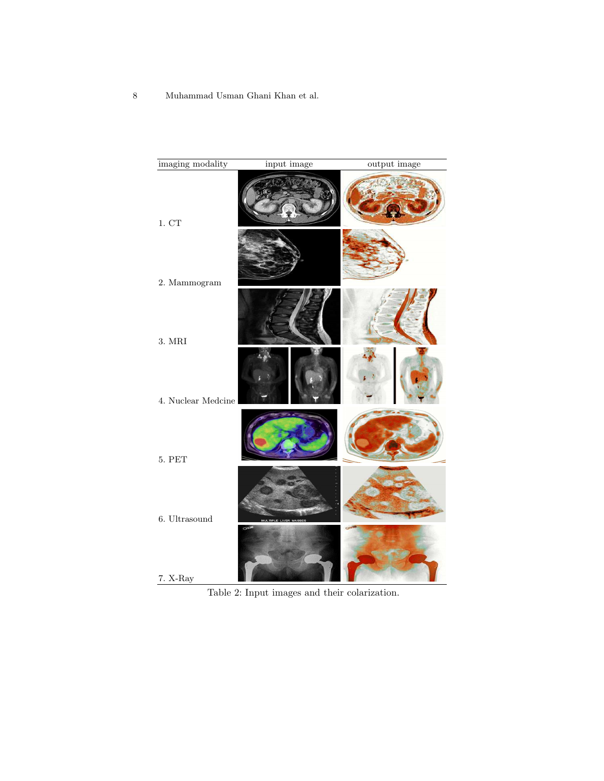8 Muhammad Usman Ghani Khan et al.

| imaging modality   | input image | output image |
|--------------------|-------------|--------------|
| 1. CT              |             |              |
| 2. Mammogram       |             |              |
| 3. MRI             |             |              |
| 4. Nuclear Medcine |             |              |
| 5. PET             |             |              |
| $6.$ Ultrasound    |             |              |
| $7.$ X-Ray         |             |              |

Table 2: Input images and their colarization.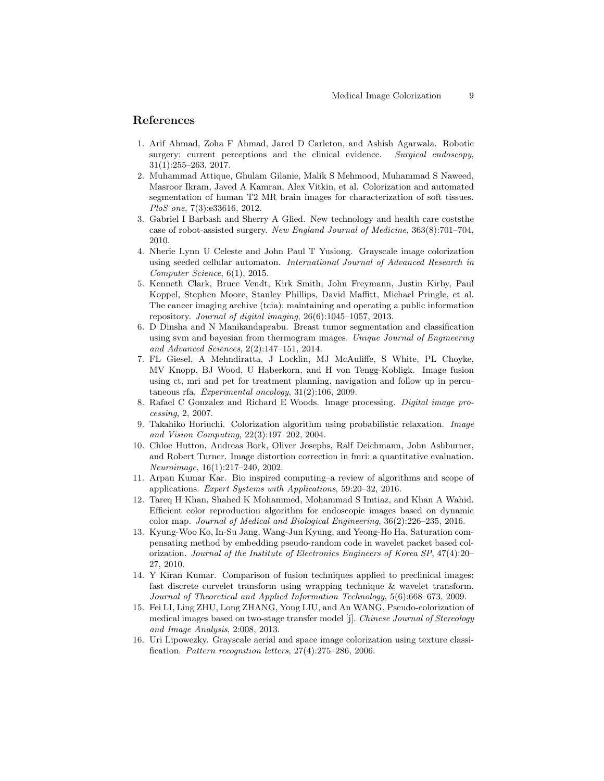### References

- 1. Arif Ahmad, Zoha F Ahmad, Jared D Carleton, and Ashish Agarwala. Robotic surgery: current perceptions and the clinical evidence. Surgical endoscopy, 31(1):255–263, 2017.
- 2. Muhammad Attique, Ghulam Gilanie, Malik S Mehmood, Muhammad S Naweed, Masroor Ikram, Javed A Kamran, Alex Vitkin, et al. Colorization and automated segmentation of human T2 MR brain images for characterization of soft tissues. PloS one, 7(3):e33616, 2012.
- 3. Gabriel I Barbash and Sherry A Glied. New technology and health care coststhe case of robot-assisted surgery. New England Journal of Medicine, 363(8):701–704, 2010.
- 4. Nherie Lynn U Celeste and John Paul T Yusiong. Grayscale image colorization using seeded cellular automaton. International Journal of Advanced Research in Computer Science, 6(1), 2015.
- 5. Kenneth Clark, Bruce Vendt, Kirk Smith, John Freymann, Justin Kirby, Paul Koppel, Stephen Moore, Stanley Phillips, David Maffitt, Michael Pringle, et al. The cancer imaging archive (tcia): maintaining and operating a public information repository. Journal of digital imaging, 26(6):1045–1057, 2013.
- 6. D Dinsha and N Manikandaprabu. Breast tumor segmentation and classification using svm and bayesian from thermogram images. Unique Journal of Engineering and Advanced Sciences, 2(2):147–151, 2014.
- 7. FL Giesel, A Mehndiratta, J Locklin, MJ McAuliffe, S White, PL Choyke, MV Knopp, BJ Wood, U Haberkorn, and H von Tengg-Kobligk. Image fusion using ct, mri and pet for treatment planning, navigation and follow up in percutaneous rfa. Experimental oncology, 31(2):106, 2009.
- 8. Rafael C Gonzalez and Richard E Woods. Image processing. Digital image processing, 2, 2007.
- 9. Takahiko Horiuchi. Colorization algorithm using probabilistic relaxation. Image and Vision Computing, 22(3):197–202, 2004.
- 10. Chloe Hutton, Andreas Bork, Oliver Josephs, Ralf Deichmann, John Ashburner, and Robert Turner. Image distortion correction in fmri: a quantitative evaluation. Neuroimage, 16(1):217–240, 2002.
- 11. Arpan Kumar Kar. Bio inspired computing–a review of algorithms and scope of applications. Expert Systems with Applications, 59:20–32, 2016.
- 12. Tareq H Khan, Shahed K Mohammed, Mohammad S Imtiaz, and Khan A Wahid. Efficient color reproduction algorithm for endoscopic images based on dynamic color map. Journal of Medical and Biological Engineering, 36(2):226–235, 2016.
- 13. Kyung-Woo Ko, In-Su Jang, Wang-Jun Kyung, and Yeong-Ho Ha. Saturation compensating method by embedding pseudo-random code in wavelet packet based colorization. Journal of the Institute of Electronics Engineers of Korea SP, 47(4):20– 27, 2010.
- 14. Y Kiran Kumar. Comparison of fusion techniques applied to preclinical images: fast discrete curvelet transform using wrapping technique & wavelet transform. Journal of Theoretical and Applied Information Technology, 5(6):668–673, 2009.
- 15. Fei LI, Ling ZHU, Long ZHANG, Yong LIU, and An WANG. Pseudo-colorization of medical images based on two-stage transfer model [j]. Chinese Journal of Stereology and Image Analysis, 2:008, 2013.
- 16. Uri Lipowezky. Grayscale aerial and space image colorization using texture classification. Pattern recognition letters, 27(4):275–286, 2006.